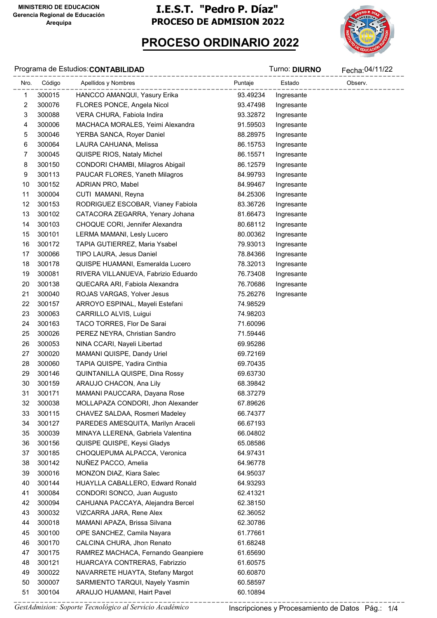# PROCESO ORDINARIO 2022



#### Programa de Estudios:CONTABILIDAD de antico de contra a constantin de contra a constantin de contra a constantin<br>Districts de la proponation de la proponation de la proponation de la proponation de la proponation de la pro

| Nro.         | Código | ---------------------------------<br>Apellidos y Nombres<br>-------------- | Puntaje  | Estado     | -------------------------<br>Observ. |
|--------------|--------|----------------------------------------------------------------------------|----------|------------|--------------------------------------|
| $\mathbf{1}$ | 300015 | HANCCO AMANQUI, Yasury Erika                                               | 93.49234 | Ingresante | ----------                           |
| 2            | 300076 | FLORES PONCE, Angela Nicol                                                 | 93.47498 | Ingresante |                                      |
| 3            | 300088 | VERA CHURA, Fabiola Indira                                                 | 93.32872 | Ingresante |                                      |
| 4            | 300006 | MACHACA MORALES, Yeimi Alexandra                                           | 91.59503 | Ingresante |                                      |
| 5            | 300046 | YERBA SANCA, Royer Daniel                                                  | 88.28975 | Ingresante |                                      |
| 6            | 300064 | LAURA CAHUANA, Melissa                                                     | 86.15753 | Ingresante |                                      |
| 7            | 300045 | QUISPE RIOS, Nataly Michel                                                 | 86.15571 | Ingresante |                                      |
| 8            | 300150 | CONDORI CHAMBI, Milagros Abigail                                           | 86.12579 | Ingresante |                                      |
| 9            | 300113 | PAUCAR FLORES, Yaneth Milagros                                             | 84.99793 | Ingresante |                                      |
| 10           | 300152 | ADRIAN PRO, Mabel                                                          | 84.99467 | Ingresante |                                      |
| 11           | 300004 | CUTI MAMANI, Reyna                                                         | 84.25306 | Ingresante |                                      |
| 12           | 300153 | RODRIGUEZ ESCOBAR, Vianey Fabiola                                          | 83.36726 | Ingresante |                                      |
| 13           | 300102 | CATACORA ZEGARRA, Yenary Johana                                            | 81.66473 | Ingresante |                                      |
| 14           | 300103 | CHOQUE CORI, Jennifer Alexandra                                            | 80.68112 | Ingresante |                                      |
| 15           | 300101 | LERMA MAMANI, Lesly Lucero                                                 | 80.00362 | Ingresante |                                      |
| 16           | 300172 | TAPIA GUTIERREZ, Maria Ysabel                                              | 79.93013 | Ingresante |                                      |
| 17           | 300066 | TIPO LAURA, Jesus Daniel                                                   | 78.84366 | Ingresante |                                      |
| 18           | 300178 | QUISPE HUAMANI, Esmeralda Lucero                                           | 78.32013 | Ingresante |                                      |
| 19           | 300081 | RIVERA VILLANUEVA, Fabrizio Eduardo                                        | 76.73408 | Ingresante |                                      |
| 20           | 300138 | QUECARA ARI, Fabiola Alexandra                                             | 76.70686 | Ingresante |                                      |
| 21           | 300040 | ROJAS VARGAS, Yolver Jesus                                                 | 75.26276 | Ingresante |                                      |
| 22           | 300157 | ARROYO ESPINAL, Mayeli Estefani                                            | 74.98529 |            |                                      |
| 23           | 300063 | CARRILLO ALVIS, Luigui                                                     | 74.98203 |            |                                      |
| 24           | 300163 | TACO TORRES, Flor De Sarai                                                 | 71.60096 |            |                                      |
| 25           | 300026 | PEREZ NEYRA, Christian Sandro                                              | 71.59446 |            |                                      |
| 26           | 300053 | NINA CCARI, Nayeli Libertad                                                | 69.95286 |            |                                      |
| 27           | 300020 | MAMANI QUISPE, Dandy Uriel                                                 | 69.72169 |            |                                      |
| 28           | 300060 | TAPIA QUISPE, Yadira Cinthia                                               | 69.70435 |            |                                      |
| 29           | 300146 | QUINTANILLA QUISPE, Dina Rossy                                             | 69.63730 |            |                                      |
| 30           | 300159 | ARAUJO CHACON, Ana Lily                                                    | 68.39842 |            |                                      |
| 31           | 300171 | MAMANI PAUCCARA, Dayana Rose                                               | 68.37279 |            |                                      |
| 32           | 300038 | MOLLAPAZA CONDORI, Jhon Alexander                                          | 67.89626 |            |                                      |
| 33           | 300115 | CHAVEZ SALDAA, Rosmeri Madeley                                             | 66.74377 |            |                                      |
| 34           | 300127 | PAREDES AMESQUITA, Marilyn Araceli                                         | 66.67193 |            |                                      |
| 35           | 300039 | MINAYA LLERENA, Gabriela Valentina                                         | 66.04802 |            |                                      |
| 36           | 300156 | QUISPE QUISPE, Keysi Gladys                                                | 65.08586 |            |                                      |
| 37           | 300185 | CHOQUEPUMA ALPACCA, Veronica                                               | 64.97431 |            |                                      |
| 38           | 300142 | NUÑEZ PACCO, Amelia                                                        | 64.96778 |            |                                      |
| 39           | 300016 | MONZON DIAZ, Kiara Salec                                                   | 64.95037 |            |                                      |
| 40           | 300144 | HUAYLLA CABALLERO, Edward Ronald                                           | 64.93293 |            |                                      |
| 41           | 300084 | CONDORI SONCO, Juan Augusto                                                | 62.41321 |            |                                      |
| 42           | 300094 | CAHUANA PACCAYA, Alejandra Bercel                                          | 62.38150 |            |                                      |
| 43           | 300032 | VIZCARRA JARA, Rene Alex                                                   | 62.36052 |            |                                      |
| 44           | 300018 | MAMANI APAZA, Brissa Silvana                                               | 62.30786 |            |                                      |
| 45           | 300100 | OPE SANCHEZ, Camila Nayara                                                 | 61.77661 |            |                                      |
| 46           | 300170 | CALCINA CHURA, Jhon Renato                                                 | 61.68248 |            |                                      |
| 47           | 300175 | RAMREZ MACHACA, Fernando Geanpiere                                         | 61.65690 |            |                                      |
| 48           | 300121 | HUARCAYA CONTRERAS, Fabrizzio                                              | 61.60575 |            |                                      |
| 49           | 300022 | NAVARRETE HUAYTA, Stefany Margot                                           | 60.60870 |            |                                      |
| 50           | 300007 | SARMIENTO TARQUI, Nayely Yasmin                                            | 60.58597 |            |                                      |
| 51           | 300104 | ARAUJO HUAMANI, Hairt Pavel                                                | 60.10894 |            |                                      |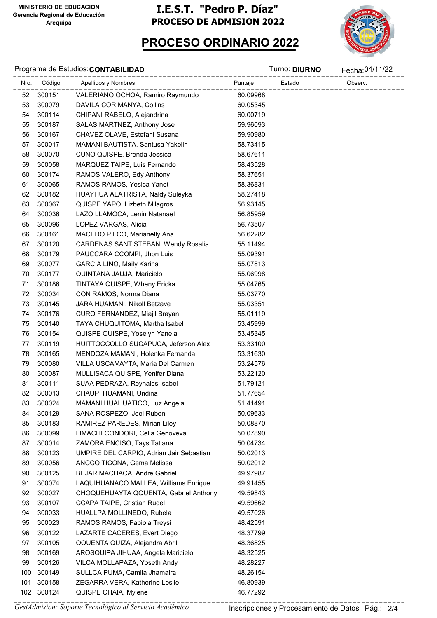



#### Programa de Estudios: CONTABILIDAD **CONTABILIDAD** Turno: DIURNO

|      | Programa de Estudios: CONTABILIDAD |                                          |          | Turno: <b>DIURNO</b> | Fecha: 04/11/22 |
|------|------------------------------------|------------------------------------------|----------|----------------------|-----------------|
| Nro. | Código                             | Apellidos y Nombres                      | Puntaje  | Estado               | Observ.         |
| 52   | 300151                             | VALERIANO OCHOA, Ramiro Raymundo         | 60.09968 |                      |                 |
| 53   | 300079                             | DAVILA CORIMANYA, Collins                | 60.05345 |                      |                 |
| 54   | 300114                             | CHIPANI RABELO, Alejandrina              | 60.00719 |                      |                 |
| 55   | 300187                             | SALAS MARTNEZ, Anthony Jose              | 59.96093 |                      |                 |
| 56   | 300167                             | CHAVEZ OLAVE, Estefani Susana            | 59.90980 |                      |                 |
| 57   | 300017                             | MAMANI BAUTISTA, Santusa Yakelin         | 58.73415 |                      |                 |
| 58   | 300070                             | CUNO QUISPE, Brenda Jessica              | 58.67611 |                      |                 |
| 59   | 300058                             | MARQUEZ TAIPE, Luis Fernando             | 58.43528 |                      |                 |
| 60   | 300174                             | RAMOS VALERO, Edy Anthony                | 58.37651 |                      |                 |
| 61   | 300065                             | RAMOS RAMOS, Yesica Yanet                | 58.36831 |                      |                 |
| 62   | 300182                             | HUAYHUA ALATRISTA, Naldy Suleyka         | 58.27418 |                      |                 |
| 63   | 300067                             | QUISPE YAPO, Lizbeth Milagros            | 56.93145 |                      |                 |
| 64   | 300036                             | LAZO LLAMOCA, Lenin Natanael             | 56.85959 |                      |                 |
| 65   | 300096                             | LOPEZ VARGAS, Alicia                     | 56.73507 |                      |                 |
| 66   | 300161                             | MACEDO PILCO, Marianelly Ana             | 56.62282 |                      |                 |
| 67   | 300120                             | CARDENAS SANTISTEBAN, Wendy Rosalia      | 55.11494 |                      |                 |
| 68   | 300179                             | PAUCCARA CCOMPI, Jhon Luis               | 55.09391 |                      |                 |
| 69   | 300077                             | GARCIA LINO, Maily Karina                | 55.07813 |                      |                 |
| 70   | 300177                             | QUINTANA JAUJA, Maricielo                | 55.06998 |                      |                 |
| 71   | 300186                             | TINTAYA QUISPE, Wheny Ericka             | 55.04765 |                      |                 |
| 72   | 300034                             | CON RAMOS, Norma Diana                   | 55.03770 |                      |                 |
| 73   | 300145                             | JARA HUAMANI, Nikoll Betzave             | 55.03351 |                      |                 |
| 74   | 300176                             | CURO FERNANDEZ, Miajil Brayan            | 55.01119 |                      |                 |
| 75   | 300140                             | TAYA CHUQUITOMA, Martha Isabel           | 53.45999 |                      |                 |
| 76   | 300154                             | QUISPE QUISPE, Yoselyn Yanela            | 53.45345 |                      |                 |
| 77   | 300119                             | HUITTOCCOLLO SUCAPUCA, Jeferson Alex     | 53.33100 |                      |                 |
| 78   | 300165                             | MENDOZA MAMANI, Holenka Fernanda         | 53.31630 |                      |                 |
| 79   | 300080                             | VILLA USCAMAYTA, Maria Del Carmen        | 53.24576 |                      |                 |
| 80   | 300087                             | MULLISACA QUISPE, Yenifer Diana          | 53.22120 |                      |                 |
| 81   | 300111                             | SUAA PEDRAZA, Reynalds Isabel            | 51.79121 |                      |                 |
| 82   | 300013                             | CHAUPI HUAMANI, Undina                   | 51.77654 |                      |                 |
| 83   | 300024                             | MAMANI HUAHUATICO, Luz Angela            | 51.41491 |                      |                 |
| 84   | 300129                             | SANA ROSPEZO, Joel Ruben                 | 50.09633 |                      |                 |
| 85   | 300183                             | RAMIREZ PAREDES, Mirian Liley            | 50.08870 |                      |                 |
| 86   | 300099                             | LIMACHI CONDORI, Celia Genoveva          | 50.07890 |                      |                 |
| 87   | 300014                             | ZAMORA ENCISO, Tays Tatiana              | 50.04734 |                      |                 |
| 88   | 300123                             | UMPIRE DEL CARPIO, Adrian Jair Sebastian | 50.02013 |                      |                 |
| 89   | 300056                             | ANCCO TICONA, Gema Melissa               | 50.02012 |                      |                 |
| 90   | 300125                             | <b>BEJAR MACHACA, Andre Gabriel</b>      | 49.97987 |                      |                 |
| 91   | 300074                             | LAQUIHUANACO MALLEA, Williams Enrique    | 49.91455 |                      |                 |
| 92   | 300027                             | CHOQUEHUAYTA QQUENTA, Gabriel Anthony    | 49.59843 |                      |                 |
| 93   | 300107                             | CCAPA TAIPE, Cristian Rudel              | 49.59662 |                      |                 |
| 94   | 300033                             | HUALLPA MOLLINEDO, Rubela                | 49.57026 |                      |                 |
| 95   | 300023                             | RAMOS RAMOS, Fabiola Treysi              | 48.42591 |                      |                 |
| 96   | 300122                             | LAZARTE CACERES, Evert Diego             | 48.37799 |                      |                 |
| 97   | 300105                             | QQUENTA QUIZA, Alejandra Abril           | 48.36825 |                      |                 |
| 98   | 300169                             | AROSQUIPA JIHUAA, Angela Maricielo       | 48.32525 |                      |                 |
| 99   | 300126                             | VILCA MOLLAPAZA, Yoseth Andy             | 48.28227 |                      |                 |
| 100  | 300149                             | SULLCA PUMA, Camila Jhamaira             | 48.26154 |                      |                 |
| 101  | 300158                             | ZEGARRA VERA, Katherine Leslie           | 46.80939 |                      |                 |
|      | 102 300124                         | QUISPE CHAIA, Mylene                     | 46.77292 |                      |                 |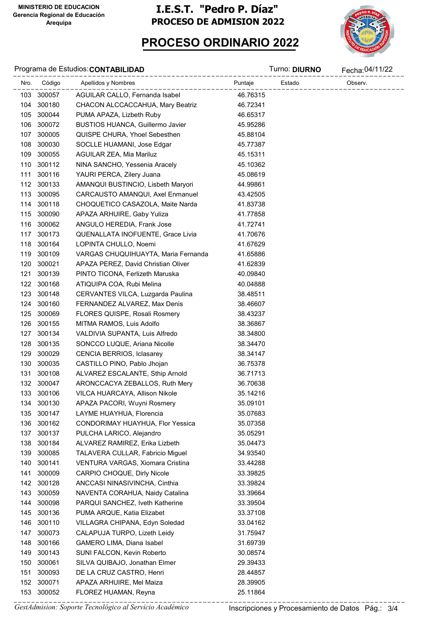

## PROCESO ORDINARIO 2022

#### Programa de Estudios:CONTABILIDAD de antico de contra a constantin de contra a constantin de contra a constantin<br>Districts de la proponation de la proponation de la proponation de la proponation de la proponation de la pro

|     |            | Nro. Código Apellidos y Nombres<br>______________ | Puntaje  | Observ.<br>.<br>————————— |
|-----|------------|---------------------------------------------------|----------|---------------------------|
|     | 103 300057 | AGUILAR CALLO, Fernanda Isabel                    | 46.76315 |                           |
|     | 104 300180 | CHACON ALCCACCAHUA, Mary Beatriz                  | 46.72341 |                           |
|     | 105 300044 | PUMA APAZA, Lizbeth Ruby                          | 46.65317 |                           |
|     | 106 300072 | <b>BUSTIOS HUANCA, Guillermo Javier</b>           | 45.95286 |                           |
|     | 107 300005 | QUISPE CHURA, Yhoel Sebesthen                     | 45.88104 |                           |
|     | 108 300030 | SOCLLE HUAMANI, Jose Edgar                        | 45.77387 |                           |
|     | 109 300055 | AGUILAR ZEA, Mia Mariluz                          | 45.15311 |                           |
|     | 110 300112 | NINA SANCHO, Yessenia Aracely                     | 45.10362 |                           |
|     | 111 300116 | YAURI PERCA, Zilery Juana                         | 45.08619 |                           |
|     | 112 300133 | AMANQUI BUSTINCIO, Lisbeth Maryori                | 44.99861 |                           |
|     | 113 300095 | CARCAUSTO AMANQUI, Axel Enmanuel                  | 43.42505 |                           |
|     | 114 300118 | CHOQUETICO CASAZOLA, Maite Narda                  | 41.83738 |                           |
|     | 115 300090 | APAZA ARHUIRE, Gaby Yuliza                        | 41.77858 |                           |
|     | 116 300062 | ANGULO HEREDIA, Frank Jose                        | 41.72741 |                           |
|     | 117 300173 | QUENALLATA INOFUENTE, Grace Livia                 | 41.70676 |                           |
|     | 118 300164 | LOPINTA CHULLO, Noemi                             | 41.67629 |                           |
|     | 119 300109 | VARGAS CHUQUIHUAYTA, Maria Fernanda               | 41.65886 |                           |
|     | 120 300021 | APAZA PEREZ, David Christian Oliver               | 41.62839 |                           |
| 121 | 300139     | PINTO TICONA, Ferlizeth Maruska                   | 40.09840 |                           |
|     | 122 300168 | ATIQUIPA COA, Rubi Melina                         | 40.04888 |                           |
|     | 123 300148 | CERVANTES VILCA, Luzgarda Paulina                 | 38.48511 |                           |
|     | 124 300160 | FERNANDEZ ALVAREZ, Max Denis                      | 38.46607 |                           |
| 125 | 300069     | FLORES QUISPE, Rosali Rosmery                     | 38.43237 |                           |
|     | 126 300155 | MITMA RAMOS, Luis Adolfo                          | 38.36867 |                           |
|     | 127 300134 | VALDIVIA SUPANTA, Luis Alfredo                    | 38.34800 |                           |
|     | 128 300135 | SONCCO LUQUE, Ariana Nicolle                      | 38.34470 |                           |
| 129 | 300029     | CENCIA BERRIOS, Iclasarey                         | 38.34147 |                           |
|     | 130 300035 | CASTILLO PINO, Pablo Jhojan                       | 36.75378 |                           |
| 131 | 300108     | ALVAREZ ESCALANTE, Sthip Arnold                   | 36.71713 |                           |
|     | 132 300047 | ARONCCACYA ZEBALLOS, Ruth Mery                    | 36.70638 |                           |
|     | 133 300106 | VILCA HUARCAYA, Allison Nikole                    | 35.14216 |                           |
|     | 134 300130 | APAZA PACORI, Wuyni Rosmery                       | 35.09101 |                           |
| 135 | 300147     | LAYME HUAYHUA, Florencia                          | 35.07683 |                           |
| 136 | 300162     | CONDORIMAY HUAYHUA, Flor Yessica                  | 35.07358 |                           |
| 137 | 300137     | PULCHA LARICO, Alejandro                          | 35.05291 |                           |
| 138 | 300184     | ALVAREZ RAMIREZ, Erika Lizbeth                    | 35.04473 |                           |
| 139 | 300085     | TALAVERA CULLAR, Fabricio Miguel                  | 34.93540 |                           |
| 140 | 300141     | VENTURA VARGAS, Xiomara Cristina                  | 33.44288 |                           |
| 141 | 300009     | CARPIO CHOQUE, Dirly Nicole                       | 33.39825 |                           |
|     | 142 300128 | ANCCASI NINASIVINCHA, Cinthia                     | 33.39824 |                           |
| 143 | 300059     | NAVENTA CORAHUA, Naidy Catalina                   | 33.39664 |                           |
| 144 | 300098     | PARQUI SANCHEZ, Iveth Katherine                   | 33.39504 |                           |
| 145 | 300136     | PUMA ARQUE, Katia Elizabet                        | 33.37108 |                           |
| 146 | 300110     | VILLAGRA CHIPANA, Edyn Soledad                    | 33.04162 |                           |
| 147 | 300073     | CALAPUJA TURPO, Lizeth Leidy                      | 31.75947 |                           |
| 148 | 300166     | GAMERO LIMA, Diana Isabel                         | 31.69739 |                           |
| 149 | 300143     | SUNI FALCON, Kevin Roberto                        | 30.08574 |                           |
| 150 | 300061     | SILVA QUIBAJO, Jonathan Elmer                     | 29.39433 |                           |
| 151 | 300093     | DE LA CRUZ CASTRO, Henri                          | 28.44857 |                           |
| 152 | 300071     | APAZA ARHUIRE, Mel Maiza                          | 28.39905 |                           |
|     | 153 300052 | FLOREZ HUAMAN, Reyna                              | 25.11864 |                           |